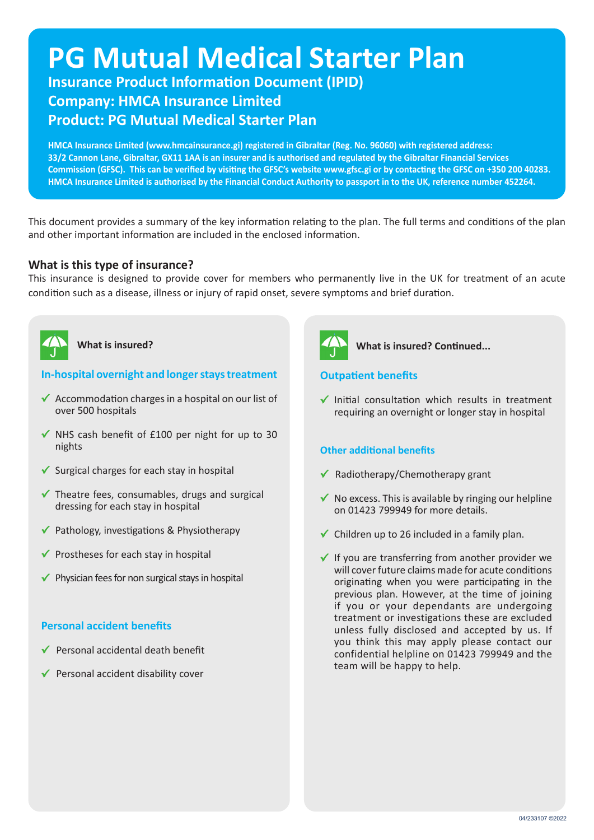# **PG Mutual Medical Starter Plan**

**Insurance Product Information Document (IPID) Company: HMCA Insurance Limited Product: PG Mutual Medical Starter Plan**

**HMCA Insurance Limited (www.hmcainsurance.gi) registered in Gibraltar (Reg. No. 96060) with registered address: 33/2 Cannon Lane, Gibraltar, GX11 1AA is an insurer and is authorised and regulated by the Gibraltar Financial Services Commission (GFSC). This can be verified by visiting the GFSC's website www.gfsc.gi or by contacting the GFSC on +350 200 40283. HMCA Insurance Limited is authorised by the Financial Conduct Authority to passport in to the UK, reference number 452264.**

This document provides a summary of the key information relating to the plan. The full terms and conditions of the plan and other important information are included in the enclosed information.

## **What is this type of insurance?**

This insurance is designed to provide cover for members who permanently live in the UK for treatment of an acute condition such as a disease, illness or injury of rapid onset, severe symptoms and brief duration.



# **What is insured?**

## **In-hospital overnight and longer stays treatment**

- $\checkmark$  Accommodation charges in a hospital on our list of over 500 hospitals
- $\checkmark$  NHS cash benefit of £100 per night for up to 30 nights
- $\checkmark$  Surgical charges for each stay in hospital
- $\checkmark$  Theatre fees, consumables, drugs and surgical dressing for each stay in hospital
- $\checkmark$  Pathology, investigations & Physiotherapy
- $\checkmark$  Prostheses for each stay in hospital
- $\checkmark$  Physician fees for non surgical stays in hospital

## **Personal accident benefits**

- Personal accidental death benefit
- Personal accident disability cover



## **What is insured? Continued...**

## **Outpatient benefits**

 $\checkmark$  Initial consultation which results in treatment requiring an overnight or longer stay in hospital

## **Other additional benefits**

- $\checkmark$  Radiotherapy/Chemotherapy grant
- $\checkmark$  No excess. This is available by ringing our helpline on 01423 799949 for more details.
- $\checkmark$  Children up to 26 included in a family plan.
- $\checkmark$  If you are transferring from another provider we will cover future claims made for acute conditions originating when you were participating in the previous plan. However, at the time of joining if you or your dependants are undergoing treatment or investigations these are excluded unless fully disclosed and accepted by us. If you think this may apply please contact our confidential helpline on 01423 799949 and the team will be happy to help.